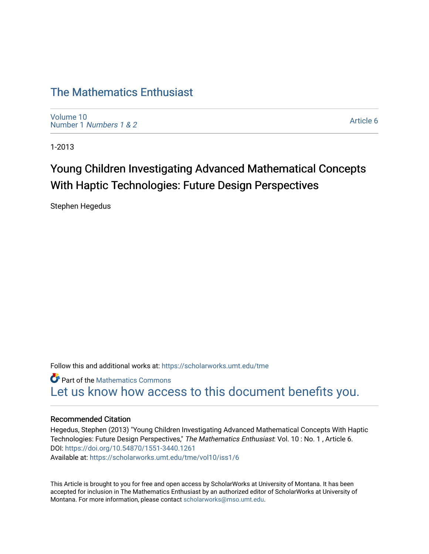# [The Mathematics Enthusiast](https://scholarworks.umt.edu/tme)

[Volume 10](https://scholarworks.umt.edu/tme/vol10) Number 1 [Numbers 1 & 2](https://scholarworks.umt.edu/tme/vol10/iss1)

[Article 6](https://scholarworks.umt.edu/tme/vol10/iss1/6) 

1-2013

# Young Children Investigating Advanced Mathematical Concepts With Haptic Technologies: Future Design Perspectives

Stephen Hegedus

Follow this and additional works at: [https://scholarworks.umt.edu/tme](https://scholarworks.umt.edu/tme?utm_source=scholarworks.umt.edu%2Ftme%2Fvol10%2Fiss1%2F6&utm_medium=PDF&utm_campaign=PDFCoverPages) 

**Part of the [Mathematics Commons](http://network.bepress.com/hgg/discipline/174?utm_source=scholarworks.umt.edu%2Ftme%2Fvol10%2Fiss1%2F6&utm_medium=PDF&utm_campaign=PDFCoverPages)** [Let us know how access to this document benefits you.](https://goo.gl/forms/s2rGfXOLzz71qgsB2) 

# Recommended Citation

Hegedus, Stephen (2013) "Young Children Investigating Advanced Mathematical Concepts With Haptic Technologies: Future Design Perspectives," The Mathematics Enthusiast: Vol. 10 : No. 1, Article 6. DOI:<https://doi.org/10.54870/1551-3440.1261> Available at: [https://scholarworks.umt.edu/tme/vol10/iss1/6](https://scholarworks.umt.edu/tme/vol10/iss1/6?utm_source=scholarworks.umt.edu%2Ftme%2Fvol10%2Fiss1%2F6&utm_medium=PDF&utm_campaign=PDFCoverPages) 

This Article is brought to you for free and open access by ScholarWorks at University of Montana. It has been accepted for inclusion in The Mathematics Enthusiast by an authorized editor of ScholarWorks at University of Montana. For more information, please contact [scholarworks@mso.umt.edu.](mailto:scholarworks@mso.umt.edu)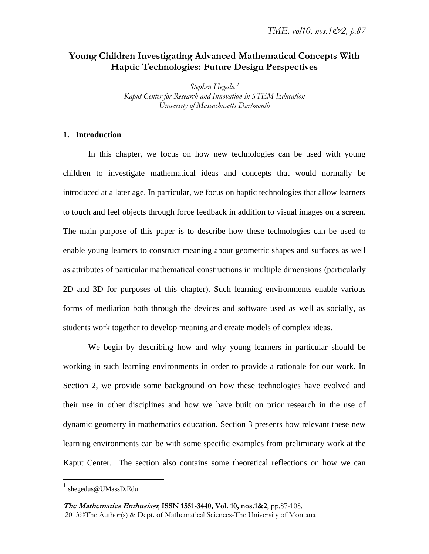# **Young Children Investigating Advanced Mathematical Concepts With Haptic Technologies: Future Design Perspectives**

 $Stepben Hegedus<sup>1</sup>$ *Kaput Center for Research and Innovation in STEM Education University of Massachusetts Dartmouth*

# **1. Introduction**

In this chapter, we focus on how new technologies can be used with young children to investigate mathematical ideas and concepts that would normally be introduced at a later age. In particular, we focus on haptic technologies that allow learners to touch and feel objects through force feedback in addition to visual images on a screen. The main purpose of this paper is to describe how these technologies can be used to enable young learners to construct meaning about geometric shapes and surfaces as well as attributes of particular mathematical constructions in multiple dimensions (particularly 2D and 3D for purposes of this chapter). Such learning environments enable various forms of mediation both through the devices and software used as well as socially, as students work together to develop meaning and create models of complex ideas.

We begin by describing how and why young learners in particular should be working in such learning environments in order to provide a rationale for our work. In Section 2, we provide some background on how these technologies have evolved and their use in other disciplines and how we have built on prior research in the use of dynamic geometry in mathematics education. Section 3 presents how relevant these new learning environments can be with some specific examples from preliminary work at the Kaput Center. The section also contains some theoretical reflections on how we can

 $\overline{a}$ 

 $^{1}$  shegedus@UMassD.Edu

**The Mathematics Enthusiast**, **ISSN 1551-3440, Vol. 10, nos.1&2**, pp.87-108. 2013©The Author(s) & Dept. of Mathematical Sciences-The University of Montana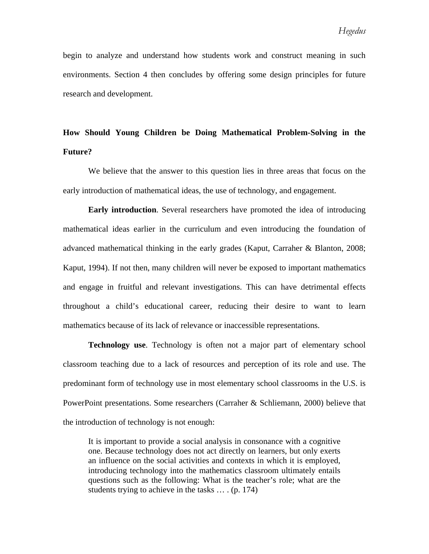begin to analyze and understand how students work and construct meaning in such environments. Section 4 then concludes by offering some design principles for future research and development.

# **How Should Young Children be Doing Mathematical Problem-Solving in the Future?**

We believe that the answer to this question lies in three areas that focus on the early introduction of mathematical ideas, the use of technology, and engagement.

**Early introduction**. Several researchers have promoted the idea of introducing mathematical ideas earlier in the curriculum and even introducing the foundation of advanced mathematical thinking in the early grades (Kaput, Carraher & Blanton, 2008; Kaput, 1994). If not then, many children will never be exposed to important mathematics and engage in fruitful and relevant investigations. This can have detrimental effects throughout a child's educational career, reducing their desire to want to learn mathematics because of its lack of relevance or inaccessible representations.

**Technology use**. Technology is often not a major part of elementary school classroom teaching due to a lack of resources and perception of its role and use. The predominant form of technology use in most elementary school classrooms in the U.S. is PowerPoint presentations. Some researchers (Carraher & Schliemann, 2000) believe that the introduction of technology is not enough:

It is important to provide a social analysis in consonance with a cognitive one. Because technology does not act directly on learners, but only exerts an influence on the social activities and contexts in which it is employed, introducing technology into the mathematics classroom ultimately entails questions such as the following: What is the teacher's role; what are the students trying to achieve in the tasks … . (p. 174)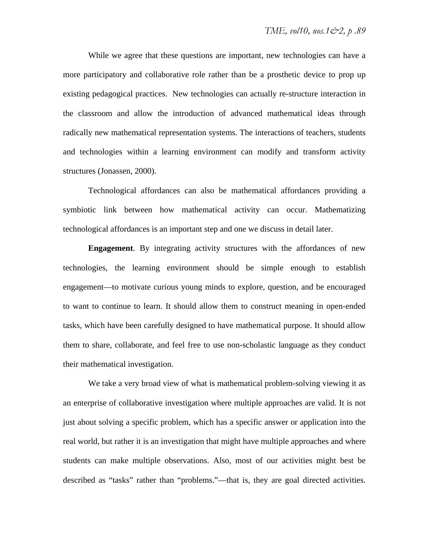While we agree that these questions are important, new technologies can have a more participatory and collaborative role rather than be a prosthetic device to prop up existing pedagogical practices. New technologies can actually re-structure interaction in the classroom and allow the introduction of advanced mathematical ideas through radically new mathematical representation systems. The interactions of teachers, students and technologies within a learning environment can modify and transform activity structures (Jonassen, 2000).

Technological affordances can also be mathematical affordances providing a symbiotic link between how mathematical activity can occur. Mathematizing technological affordances is an important step and one we discuss in detail later.

**Engagement**. By integrating activity structures with the affordances of new technologies, the learning environment should be simple enough to establish engagement—to motivate curious young minds to explore, question, and be encouraged to want to continue to learn. It should allow them to construct meaning in open-ended tasks, which have been carefully designed to have mathematical purpose. It should allow them to share, collaborate, and feel free to use non-scholastic language as they conduct their mathematical investigation.

We take a very broad view of what is mathematical problem-solving viewing it as an enterprise of collaborative investigation where multiple approaches are valid. It is not just about solving a specific problem, which has a specific answer or application into the real world, but rather it is an investigation that might have multiple approaches and where students can make multiple observations. Also, most of our activities might best be described as "tasks" rather than "problems."—that is, they are goal directed activities.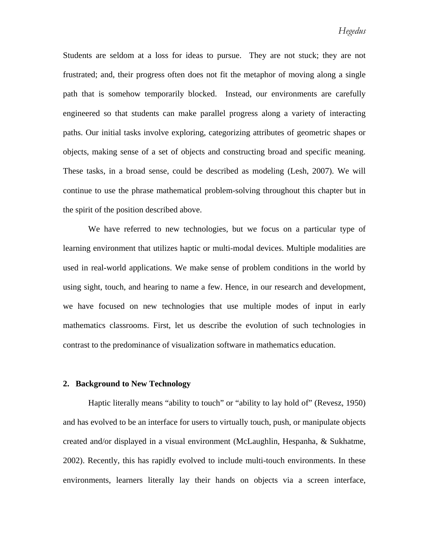Students are seldom at a loss for ideas to pursue. They are not stuck; they are not frustrated; and, their progress often does not fit the metaphor of moving along a single path that is somehow temporarily blocked. Instead, our environments are carefully engineered so that students can make parallel progress along a variety of interacting paths. Our initial tasks involve exploring, categorizing attributes of geometric shapes or objects, making sense of a set of objects and constructing broad and specific meaning. These tasks, in a broad sense, could be described as modeling (Lesh, 2007). We will continue to use the phrase mathematical problem-solving throughout this chapter but in the spirit of the position described above.

We have referred to new technologies, but we focus on a particular type of learning environment that utilizes haptic or multi-modal devices. Multiple modalities are used in real-world applications. We make sense of problem conditions in the world by using sight, touch, and hearing to name a few. Hence, in our research and development, we have focused on new technologies that use multiple modes of input in early mathematics classrooms. First, let us describe the evolution of such technologies in contrast to the predominance of visualization software in mathematics education.

#### **2. Background to New Technology**

Haptic literally means "ability to touch" or "ability to lay hold of" (Revesz, 1950) and has evolved to be an interface for users to virtually touch, push, or manipulate objects created and/or displayed in a visual environment (McLaughlin, Hespanha, & Sukhatme, 2002). Recently, this has rapidly evolved to include multi-touch environments. In these environments, learners literally lay their hands on objects via a screen interface,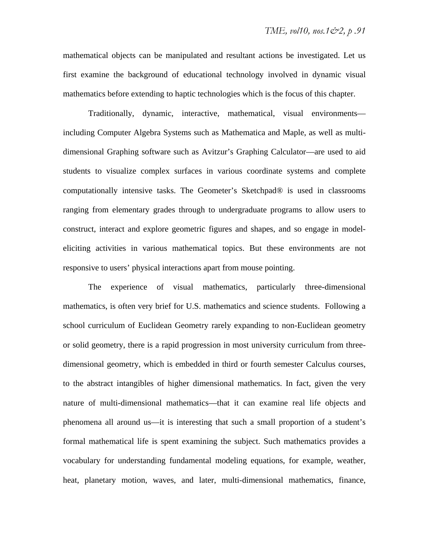mathematical objects can be manipulated and resultant actions be investigated. Let us first examine the background of educational technology involved in dynamic visual mathematics before extending to haptic technologies which is the focus of this chapter.

Traditionally, dynamic, interactive, mathematical, visual environments including Computer Algebra Systems such as Mathematica and Maple, as well as multidimensional Graphing software such as Avitzur's Graphing Calculator—are used to aid students to visualize complex surfaces in various coordinate systems and complete computationally intensive tasks. The Geometer's Sketchpad® is used in classrooms ranging from elementary grades through to undergraduate programs to allow users to construct, interact and explore geometric figures and shapes, and so engage in modeleliciting activities in various mathematical topics. But these environments are not responsive to users' physical interactions apart from mouse pointing.

The experience of visual mathematics, particularly three-dimensional mathematics, is often very brief for U.S. mathematics and science students. Following a school curriculum of Euclidean Geometry rarely expanding to non-Euclidean geometry or solid geometry, there is a rapid progression in most university curriculum from threedimensional geometry, which is embedded in third or fourth semester Calculus courses, to the abstract intangibles of higher dimensional mathematics. In fact, given the very nature of multi-dimensional mathematics—that it can examine real life objects and phenomena all around us—it is interesting that such a small proportion of a student's formal mathematical life is spent examining the subject. Such mathematics provides a vocabulary for understanding fundamental modeling equations, for example, weather, heat, planetary motion, waves, and later, multi-dimensional mathematics, finance,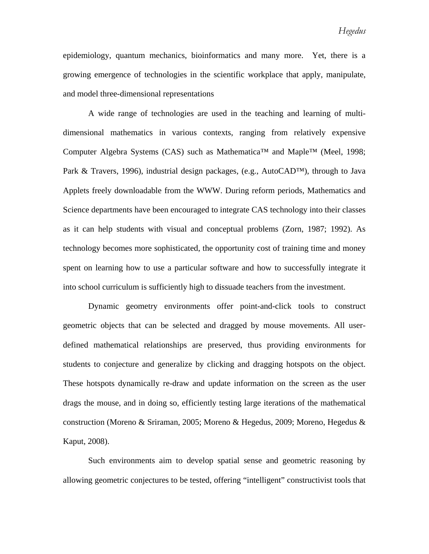epidemiology, quantum mechanics, bioinformatics and many more. Yet, there is a growing emergence of technologies in the scientific workplace that apply, manipulate, and model three-dimensional representations

A wide range of technologies are used in the teaching and learning of multidimensional mathematics in various contexts, ranging from relatively expensive Computer Algebra Systems (CAS) such as Mathematica<sup>™</sup> and Maple<sup>™</sup> (Meel, 1998; Park & Travers, 1996), industrial design packages, (e.g., AutoCAD™), through to Java Applets freely downloadable from the WWW. During reform periods, Mathematics and Science departments have been encouraged to integrate CAS technology into their classes as it can help students with visual and conceptual problems (Zorn, 1987; 1992). As technology becomes more sophisticated, the opportunity cost of training time and money spent on learning how to use a particular software and how to successfully integrate it into school curriculum is sufficiently high to dissuade teachers from the investment.

Dynamic geometry environments offer point-and-click tools to construct geometric objects that can be selected and dragged by mouse movements. All userdefined mathematical relationships are preserved, thus providing environments for students to conjecture and generalize by clicking and dragging hotspots on the object. These hotspots dynamically re-draw and update information on the screen as the user drags the mouse, and in doing so, efficiently testing large iterations of the mathematical construction (Moreno & Sriraman, 2005; Moreno & Hegedus, 2009; Moreno, Hegedus & Kaput, 2008).

Such environments aim to develop spatial sense and geometric reasoning by allowing geometric conjectures to be tested, offering "intelligent" constructivist tools that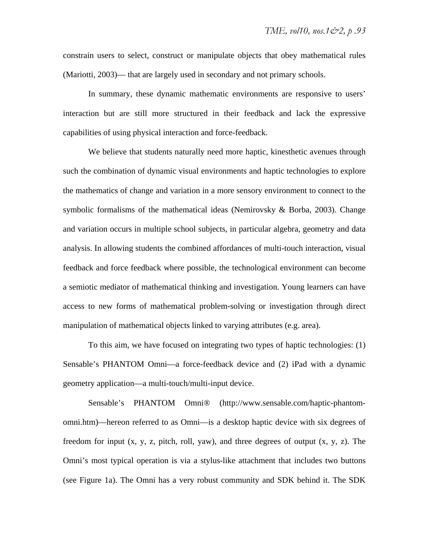constrain users to select, construct or manipulate objects that obey mathematical rules (Mariotti, 2003)— that are largely used in secondary and not primary schools.

In summary, these dynamic mathematic environments are responsive to users' interaction but are still more structured in their feedback and lack the expressive capabilities of using physical interaction and force-feedback.

We believe that students naturally need more haptic, kinesthetic avenues through such the combination of dynamic visual environments and haptic technologies to explore the mathematics of change and variation in a more sensory environment to connect to the symbolic formalisms of the mathematical ideas (Nemirovsky  $\&$  Borba, 2003). Change and variation occurs in multiple school subjects, in particular algebra, geometry and data analysis. In allowing students the combined affordances of multi-touch interaction, visual feedback and force feedback where possible, the technological environment can become a semiotic mediator of mathematical thinking and investigation. Young learners can have access to new forms of mathematical problem-solving or investigation through direct manipulation of mathematical objects linked to varying attributes (e.g. area).

To this aim, we have focused on integrating two types of haptic technologies: (1) Sensable's PHANTOM Omni—a force-feedback device and (2) iPad with a dynamic geometry application—a multi-touch/multi-input device.

Sensable's PHANTOM Omni® (http://www.sensable.com/haptic-phantomomni.htm)—hereon referred to as Omni—is a desktop haptic device with six degrees of freedom for input  $(x, y, z,$  pitch, roll, yaw), and three degrees of output  $(x, y, z)$ . The Omni's most typical operation is via a stylus-like attachment that includes two buttons (see Figure 1a). The Omni has a very robust community and SDK behind it. The SDK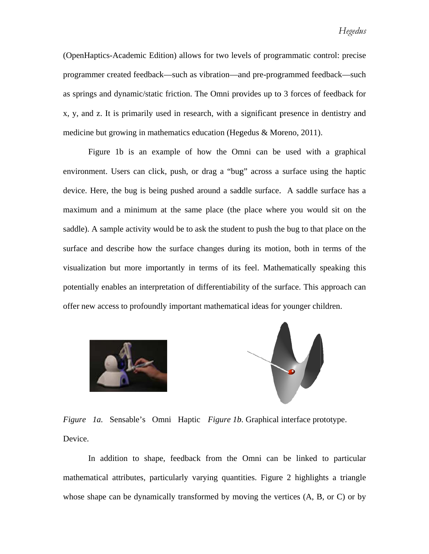(OpenHaptics-Academic Edition) allows for two levels of programmatic control: precise programmer created feedback—such as vibration—and pre-programmed feedback—such as springs and dynamic/static friction. The Omni provides up to 3 forces of feedback for x, y, and z. It is primarily used in research, with a significant presence in dentistry and medicine but growing in mathematics education (Hegedus & Moreno, 2011).

environment. Users can click, push, or drag a "bug" across a surface using the haptic device. Here, the bug is being pushed around a saddle surface. A saddle surface has a maximum and a minimum at the same place (the place where you would sit on the saddle). A sample activity would be to ask the student to push the bug to that place on the surface and describe how the surface changes during its motion, both in terms of the visualization but more importantly in terms of its feel. Mathematically speaking this potentially enables an interpretation of differentiability of the surface. This approach can offer new access to profoundly important mathematical ideas for younger children. Figure 1b is an example of how the Omni can be used with a graphical





*Figure 1a.* Sensable's Omni Haptic *Figure 1b*. Graphical interface prototype. Device.

mathematical attributes, particularly varying quantities. Figure 2 highlights a triangle whose shape can be dynamically transformed by moving the vertices (A, B, or C) or by In addition to shape, feedback from the Omni can be linked to particular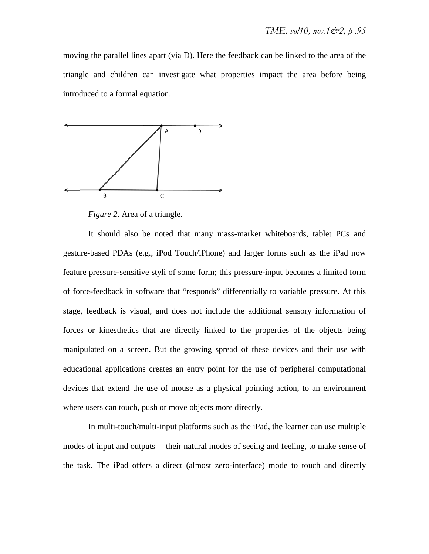moving the parallel lines apart (via D). Here the feedback can be linked to the area of the triangle and children can investigate what properties impact the area before being introduced to a formal equation.



*Figure 2*. Area of a tr iangle*.*

gesture-based PDAs (e.g., iPod Touch/iPhone) and larger forms such as the iPad now feature pressure-sensitive styli of some form; this pressure-input becomes a limited form feature pressure-sensitive styli of some form; this pressure-input becomes a limited form<br>of force-feedback in software that "responds" differentially to variable pressure. At this stage, feedback is visual, and does not include the additional sensory information of forces or kinesthetics that are directly linked to the properties of the objects being manipulated on a screen. But the growing spread of these devices and their use with educational applications creates an entry point for the use of peripheral computational devices that extend the use of mouse as a physical pointing action, to an environment where users can touch, push or move objects more directly. It should also be noted that many mass-market whiteboards, tablet PCs and

modes of input and outputs— their natural modes of seeing and feeling, to make sense of the task. The iPad offers a direct (almost zero-interface) mode to touch and directly In multi-touch/multi-input platforms such as the iPad, the learner can use multiple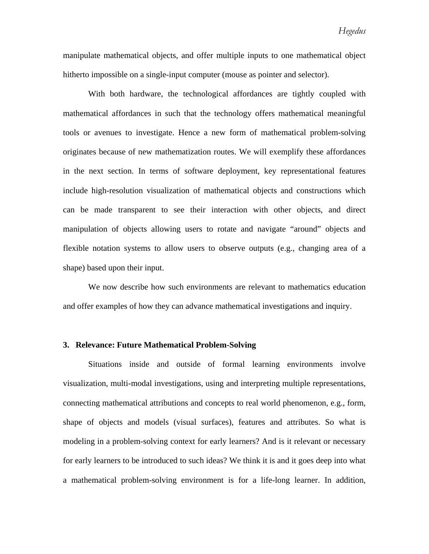manipulate mathematical objects, and offer multiple inputs to one mathematical object hitherto impossible on a single-input computer (mouse as pointer and selector).

With both hardware, the technological affordances are tightly coupled with mathematical affordances in such that the technology offers mathematical meaningful tools or avenues to investigate. Hence a new form of mathematical problem-solving originates because of new mathematization routes. We will exemplify these affordances in the next section. In terms of software deployment, key representational features include high-resolution visualization of mathematical objects and constructions which can be made transparent to see their interaction with other objects, and direct manipulation of objects allowing users to rotate and navigate "around" objects and flexible notation systems to allow users to observe outputs (e.g., changing area of a shape) based upon their input.

We now describe how such environments are relevant to mathematics education and offer examples of how they can advance mathematical investigations and inquiry.

### **3. Relevance: Future Mathematical Problem-Solving**

Situations inside and outside of formal learning environments involve visualization, multi-modal investigations, using and interpreting multiple representations, connecting mathematical attributions and concepts to real world phenomenon, e.g., form, shape of objects and models (visual surfaces), features and attributes. So what is modeling in a problem-solving context for early learners? And is it relevant or necessary for early learners to be introduced to such ideas? We think it is and it goes deep into what a mathematical problem-solving environment is for a life-long learner. In addition,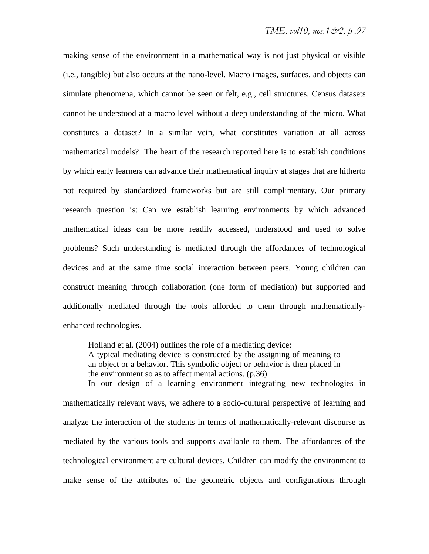making sense of the environment in a mathematical way is not just physical or visible (i.e., tangible) but also occurs at the nano-level. Macro images, surfaces, and objects can simulate phenomena, which cannot be seen or felt, e.g., cell structures. Census datasets cannot be understood at a macro level without a deep understanding of the micro. What constitutes a dataset? In a similar vein, what constitutes variation at all across mathematical models? The heart of the research reported here is to establish conditions by which early learners can advance their mathematical inquiry at stages that are hitherto not required by standardized frameworks but are still complimentary. Our primary research question is: Can we establish learning environments by which advanced mathematical ideas can be more readily accessed, understood and used to solve problems? Such understanding is mediated through the affordances of technological devices and at the same time social interaction between peers. Young children can construct meaning through collaboration (one form of mediation) but supported and additionally mediated through the tools afforded to them through mathematicallyenhanced technologies.

Holland et al. (2004) outlines the role of a mediating device: A typical mediating device is constructed by the assigning of meaning to an object or a behavior. This symbolic object or behavior is then placed in the environment so as to affect mental actions. (p.36) In our design of a learning environment integrating new technologies in

mathematically relevant ways, we adhere to a socio-cultural perspective of learning and analyze the interaction of the students in terms of mathematically-relevant discourse as mediated by the various tools and supports available to them. The affordances of the technological environment are cultural devices. Children can modify the environment to make sense of the attributes of the geometric objects and configurations through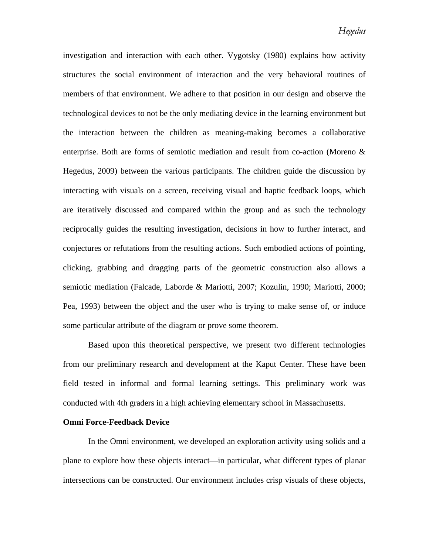investigation and interaction with each other. Vygotsky (1980) explains how activity structures the social environment of interaction and the very behavioral routines of members of that environment. We adhere to that position in our design and observe the technological devices to not be the only mediating device in the learning environment but the interaction between the children as meaning-making becomes a collaborative enterprise. Both are forms of semiotic mediation and result from co-action (Moreno & Hegedus, 2009) between the various participants. The children guide the discussion by interacting with visuals on a screen, receiving visual and haptic feedback loops, which are iteratively discussed and compared within the group and as such the technology reciprocally guides the resulting investigation, decisions in how to further interact, and conjectures or refutations from the resulting actions. Such embodied actions of pointing, clicking, grabbing and dragging parts of the geometric construction also allows a semiotic mediation (Falcade, Laborde & Mariotti, 2007; Kozulin, 1990; Mariotti, 2000; Pea, 1993) between the object and the user who is trying to make sense of, or induce some particular attribute of the diagram or prove some theorem.

Based upon this theoretical perspective, we present two different technologies from our preliminary research and development at the Kaput Center. These have been field tested in informal and formal learning settings. This preliminary work was conducted with 4th graders in a high achieving elementary school in Massachusetts.

#### **Omni Force-Feedback Device**

In the Omni environment, we developed an exploration activity using solids and a plane to explore how these objects interact—in particular, what different types of planar intersections can be constructed. Our environment includes crisp visuals of these objects,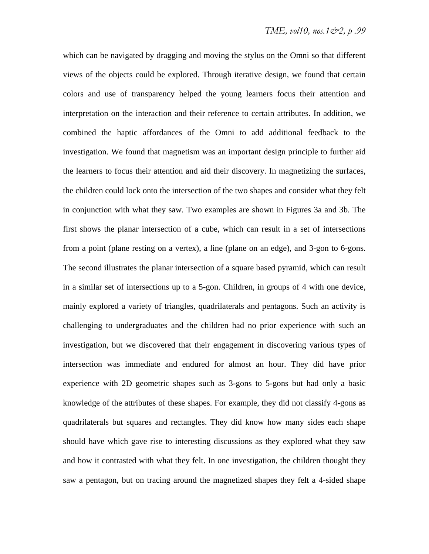which can be navigated by dragging and moving the stylus on the Omni so that different views of the objects could be explored. Through iterative design, we found that certain colors and use of transparency helped the young learners focus their attention and interpretation on the interaction and their reference to certain attributes. In addition, we combined the haptic affordances of the Omni to add additional feedback to the investigation. We found that magnetism was an important design principle to further aid the learners to focus their attention and aid their discovery. In magnetizing the surfaces, the children could lock onto the intersection of the two shapes and consider what they felt in conjunction with what they saw. Two examples are shown in Figures 3a and 3b. The first shows the planar intersection of a cube, which can result in a set of intersections from a point (plane resting on a vertex), a line (plane on an edge), and 3-gon to 6-gons. The second illustrates the planar intersection of a square based pyramid, which can result in a similar set of intersections up to a 5-gon. Children, in groups of 4 with one device, mainly explored a variety of triangles, quadrilaterals and pentagons. Such an activity is challenging to undergraduates and the children had no prior experience with such an investigation, but we discovered that their engagement in discovering various types of intersection was immediate and endured for almost an hour. They did have prior experience with 2D geometric shapes such as 3-gons to 5-gons but had only a basic knowledge of the attributes of these shapes. For example, they did not classify 4-gons as quadrilaterals but squares and rectangles. They did know how many sides each shape should have which gave rise to interesting discussions as they explored what they saw and how it contrasted with what they felt. In one investigation, the children thought they saw a pentagon, but on tracing around the magnetized shapes they felt a 4-sided shape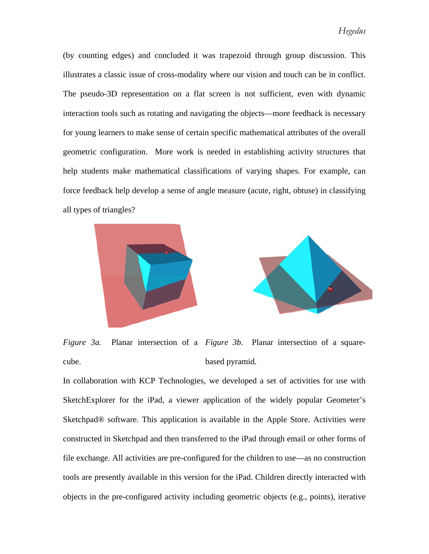(by counting edges) and concluded it was trapezoid through group discussion. This illustrates a classic issue of cross-modality where our vision and touch can be in conflict. The pseudo-3D representation on a flat screen is not sufficient, even with dynamic interaction tools such as rotating and navigating the objects—more feedback is necessary for young learners to make sense of certain specific mathematical attributes of the overall geometric configuration. More work is needed in establishing activity structures that help students make mathematical classifications of varying shapes. For example, can force feedback help develop a sense of angle measure (acute, right, obtuse) in classifying all types of triangles?





*Figure 3a.* Planar intersection of a *Figure 3b.* Planar intersection of a squarecube. based pyramid.

In collaboration with KCP Technologies, we developed a set of activities for use with SketchExplorer for the iPad, a viewer application of the widely popular Geometer's Sketchpad® software. This application is available in the Apple Store. Activities were constructed in Sketchpad and then transferred to the iPad through email or other forms of file exchange. All activities are pre-configured for the children to use—as no construction tools are presently available in this version for the iPad. Children directly interacted with objects in the pre-configured activity including geometric objects (e.g., points), iterative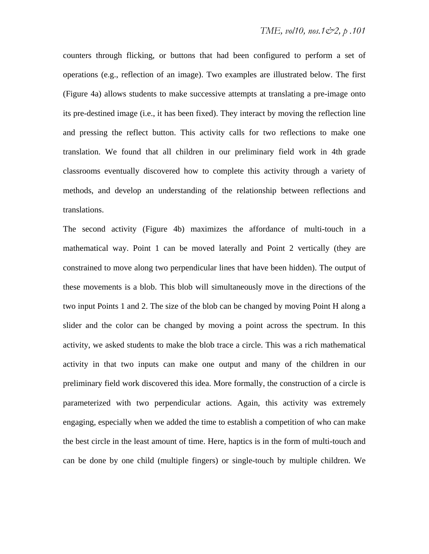counters through flicking, or buttons that had been configured to perform a set of operations (e.g., reflection of an image). Two examples are illustrated below. The first (Figure 4a) allows students to make successive attempts at translating a pre-image onto its pre-destined image (i.e., it has been fixed). They interact by moving the reflection line and pressing the reflect button. This activity calls for two reflections to make one translation. We found that all children in our preliminary field work in 4th grade classrooms eventually discovered how to complete this activity through a variety of methods, and develop an understanding of the relationship between reflections and translations.

The second activity (Figure 4b) maximizes the affordance of multi-touch in a mathematical way. Point 1 can be moved laterally and Point 2 vertically (they are constrained to move along two perpendicular lines that have been hidden). The output of these movements is a blob. This blob will simultaneously move in the directions of the two input Points 1 and 2. The size of the blob can be changed by moving Point H along a slider and the color can be changed by moving a point across the spectrum. In this activity, we asked students to make the blob trace a circle. This was a rich mathematical activity in that two inputs can make one output and many of the children in our preliminary field work discovered this idea. More formally, the construction of a circle is parameterized with two perpendicular actions. Again, this activity was extremely engaging, especially when we added the time to establish a competition of who can make the best circle in the least amount of time. Here, haptics is in the form of multi-touch and can be done by one child (multiple fingers) or single-touch by multiple children. We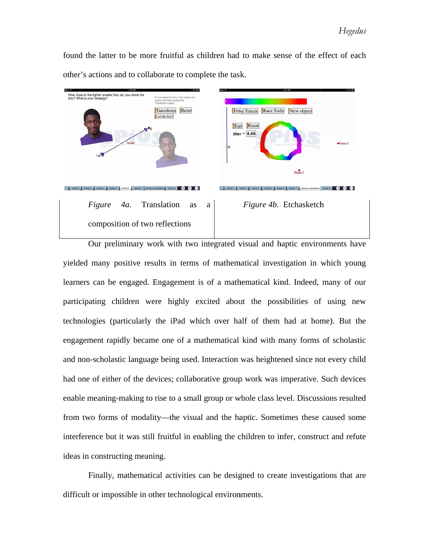found the latter to be more fruitful as children had to make sense of the effect of each other's actions and to collaborate to complete the task.



yielded many positive results in terms of mathematical investigation in which young learners can be engaged. Engagement is of a mathematical kind. Indeed, many of our participating children were highly excited about the possibilities of using new<br>technologies (particularly the iPad which over half of them had at home). But the technologies (particularly the iPad which over half of them had at home). But th engagement rapidly became one of a mathematical kind with many forms of scholastic and non-scholastic language being used. Interaction was heightened since not every child had one of either of the devices; collaborative group work was imperative. Such devices enable meaning-making to rise to a small group or whole class level. Discussions resulted from two forms of modality—the visual and the haptic. Sometimes these caused some interference but it was still fruitful in enabling the children to infer, construct and refute ideas in constructing meaning.

difficult or impossible in other technological environments. Finally, mathematical activities can be designed to create investigations that are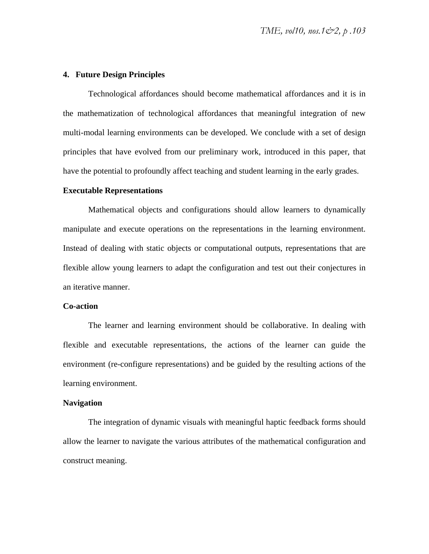# **4. Future Design Principles**

Technological affordances should become mathematical affordances and it is in the mathematization of technological affordances that meaningful integration of new multi-modal learning environments can be developed. We conclude with a set of design principles that have evolved from our preliminary work, introduced in this paper, that have the potential to profoundly affect teaching and student learning in the early grades.

#### **Executable Representations**

Mathematical objects and configurations should allow learners to dynamically manipulate and execute operations on the representations in the learning environment. Instead of dealing with static objects or computational outputs, representations that are flexible allow young learners to adapt the configuration and test out their conjectures in an iterative manner.

#### **Co-action**

The learner and learning environment should be collaborative. In dealing with flexible and executable representations, the actions of the learner can guide the environment (re-configure representations) and be guided by the resulting actions of the learning environment.

#### **Navigation**

The integration of dynamic visuals with meaningful haptic feedback forms should allow the learner to navigate the various attributes of the mathematical configuration and construct meaning.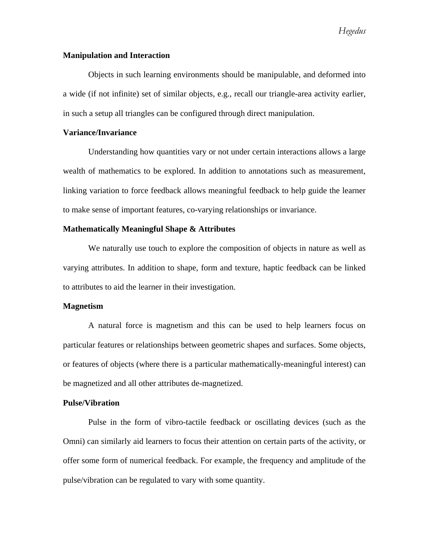*Hegedus* 

# **Manipulation and Interaction**

Objects in such learning environments should be manipulable, and deformed into a wide (if not infinite) set of similar objects, e.g., recall our triangle-area activity earlier, in such a setup all triangles can be configured through direct manipulation.

# **Variance/Invariance**

Understanding how quantities vary or not under certain interactions allows a large wealth of mathematics to be explored. In addition to annotations such as measurement, linking variation to force feedback allows meaningful feedback to help guide the learner to make sense of important features, co-varying relationships or invariance.

# **Mathematically Meaningful Shape & Attributes**

We naturally use touch to explore the composition of objects in nature as well as varying attributes. In addition to shape, form and texture, haptic feedback can be linked to attributes to aid the learner in their investigation.

#### **Magnetism**

A natural force is magnetism and this can be used to help learners focus on particular features or relationships between geometric shapes and surfaces. Some objects, or features of objects (where there is a particular mathematically-meaningful interest) can be magnetized and all other attributes de-magnetized.

#### **Pulse/Vibration**

Pulse in the form of vibro-tactile feedback or oscillating devices (such as the Omni) can similarly aid learners to focus their attention on certain parts of the activity, or offer some form of numerical feedback. For example, the frequency and amplitude of the pulse/vibration can be regulated to vary with some quantity.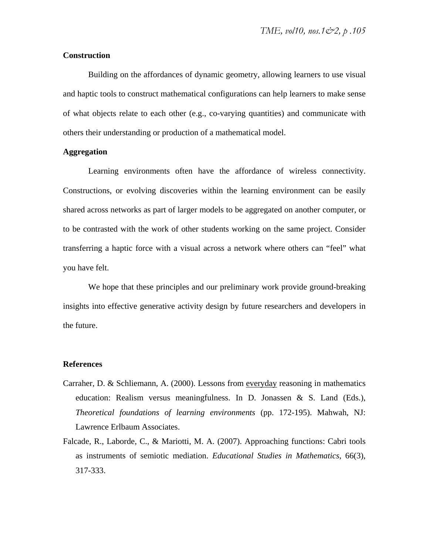# **Construction**

Building on the affordances of dynamic geometry, allowing learners to use visual and haptic tools to construct mathematical configurations can help learners to make sense of what objects relate to each other (e.g., co-varying quantities) and communicate with others their understanding or production of a mathematical model.

# **Aggregation**

Learning environments often have the affordance of wireless connectivity. Constructions, or evolving discoveries within the learning environment can be easily shared across networks as part of larger models to be aggregated on another computer, or to be contrasted with the work of other students working on the same project. Consider transferring a haptic force with a visual across a network where others can "feel" what you have felt.

We hope that these principles and our preliminary work provide ground-breaking insights into effective generative activity design by future researchers and developers in the future.

#### **References**

- Carraher, D. & Schliemann, A. (2000). Lessons from everyday reasoning in mathematics education: Realism versus meaningfulness. In D. Jonassen  $\&$  S. Land (Eds.), *Theoretical foundations of learning environments* (pp. 172-195). Mahwah, NJ: Lawrence Erlbaum Associates.
- Falcade, R., Laborde, C., & Mariotti, M. A. (2007). Approaching functions: Cabri tools as instruments of semiotic mediation. *Educational Studies in Mathematics*, 66(3), 317-333.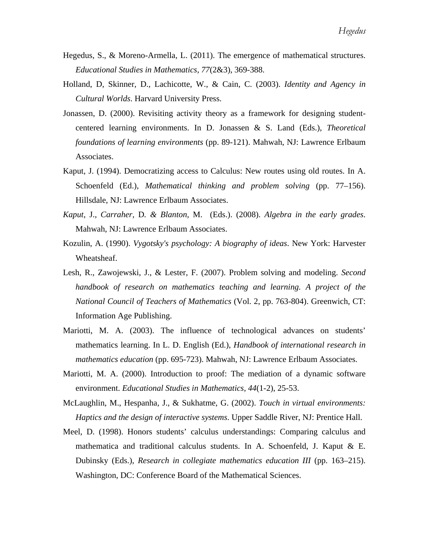- Hegedus, S., & Moreno-Armella, L. (2011). The emergence of mathematical structures. *Educational Studies in Mathematics, 77*(2&3), 369-388.
- Holland, D, Skinner, D., Lachicotte, W., & Cain, C. (2003). *Identity and Agency in Cultural Worlds*. Harvard University Press.
- Jonassen, D. (2000). Revisiting activity theory as a framework for designing studentcentered learning environments. In D. Jonassen & S. Land (Eds.), *Theoretical foundations of learning environments* (pp. 89-121). Mahwah, NJ: Lawrence Erlbaum Associates.
- Kaput, J. (1994). Democratizing access to Calculus: New routes using old routes. In A. Schoenfeld (Ed.), *Mathematical thinking and problem solving* (pp. 77–156). Hillsdale, NJ: Lawrence Erlbaum Associates.
- *Kaput*, J., *Carraher,* D*. & Blanton*, M. (Eds.). (2008). *Algebra in the early grades*. Mahwah, NJ: Lawrence Erlbaum Associates.
- Kozulin, A. (1990). *Vygotsky's psychology: A biography of ideas*. New York: Harvester Wheatsheaf.
- Lesh, R., Zawojewski, J., & Lester, F. (2007). Problem solving and modeling. *Second handbook of research on mathematics teaching and learning. A project of the National Council of Teachers of Mathematics* (Vol. 2, pp. 763-804). Greenwich, CT: Information Age Publishing.
- Mariotti, M. A. (2003). The influence of technological advances on students' mathematics learning. In L. D. English (Ed.), *Handbook of international research in mathematics education* (pp. 695-723). Mahwah, NJ: Lawrence Erlbaum Associates.
- Mariotti, M. A. (2000). Introduction to proof: The mediation of a dynamic software environment. *Educational Studies in Mathematics, 44*(1-2), 25-53.
- McLaughlin, M., Hespanha, J., & Sukhatme, G. (2002). *Touch in virtual environments: Haptics and the design of interactive systems*. Upper Saddle River, NJ: Prentice Hall.
- Meel, D. (1998). Honors students' calculus understandings: Comparing calculus and mathematica and traditional calculus students. In A. Schoenfeld, J. Kaput & E. Dubinsky (Eds.), *Research in collegiate mathematics education III* (pp. 163–215). Washington, DC: Conference Board of the Mathematical Sciences.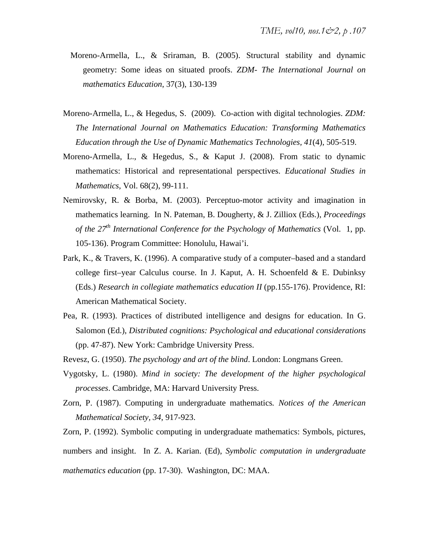- Moreno-Armella, L., & Sriraman, B. (2005). Structural stability and dynamic geometry: Some ideas on situated proofs. *ZDM- The International Journal on mathematics Education*, 37(3), 130-139
- Moreno-Armella, L., & Hegedus, S. (2009). Co-action with digital technologies. *ZDM: The International Journal on Mathematics Education: Transforming Mathematics Education through the Use of Dynamic Mathematics Technologies, 41*(4), 505-519.
- Moreno-Armella, L., & Hegedus, S., & Kaput J. (2008). From static to dynamic mathematics: Historical and representational perspectives. *Educational Studies in Mathematics*, Vol. 68(2), 99-111.
- Nemirovsky, R. & Borba, M. (2003). Perceptuo-motor activity and imagination in mathematics learning. In N. Pateman, B. Dougherty, & J. Zilliox (Eds.), *Proceedings of the 27th International Conference for the Psychology of Mathematics* (Vol. 1, pp. 105-136). Program Committee: Honolulu, Hawai'i.
- Park, K., & Travers, K. (1996). A comparative study of a computer–based and a standard college first–year Calculus course. In J. Kaput, A. H. Schoenfeld & E. Dubinksy (Eds.) *Research in collegiate mathematics education II* (pp.155-176). Providence, RI: American Mathematical Society.
- Pea, R. (1993). Practices of distributed intelligence and designs for education. In G. Salomon (Ed.), *Distributed cognitions: Psychological and educational considerations* (pp. 47-87). New York: Cambridge University Press.
- Revesz, G. (1950). *The psychology and art of the blind*. London: Longmans Green.
- Vygotsky, L. (1980). *Mind in society: The development of the higher psychological processes*. Cambridge, MA: Harvard University Press.
- Zorn, P. (1987). Computing in undergraduate mathematics*. Notices of the American Mathematical Society, 34*, 917-923.

Zorn, P. (1992). Symbolic computing in undergraduate mathematics: Symbols, pictures,

numbers and insight. In Z. A. Karian. (Ed), *Symbolic computation in undergraduate* 

*mathematics education* (pp. 17-30). Washington, DC: MAA.